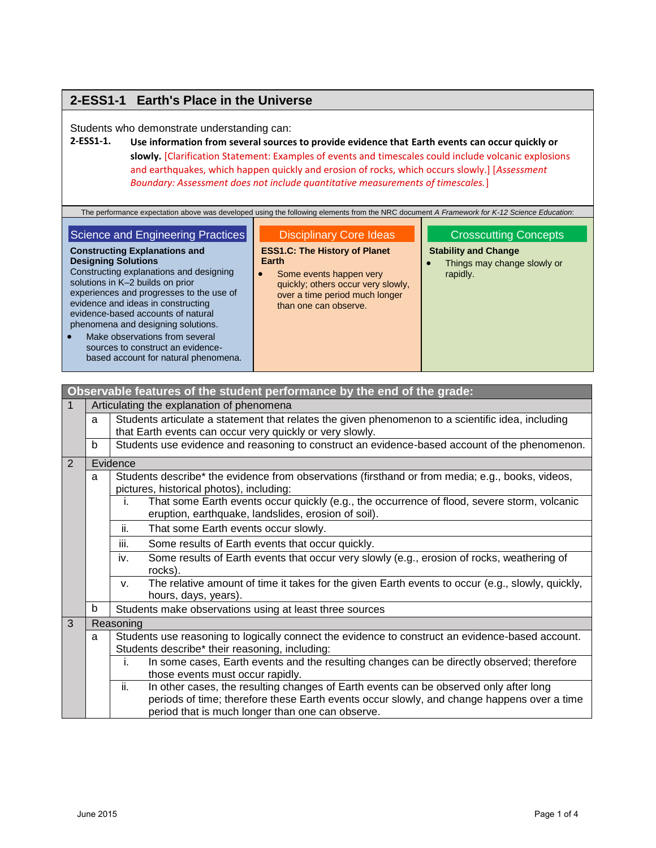## **2-ESS1-1 Earth's Place in the Universe**

Students who demonstrate understanding can:

### **2-ESS1-1. Use information from several sources to provide evidence that Earth events can occur quickly or slowly.** [Clarification Statement: Examples of events and timescales could include volcanic explosions and earthquakes, which happen quickly and erosion of rocks, which occurs slowly.] [*Assessment Boundary: Assessment does not include quantitative measurements of timescales.*]

The performance expectation above was developed using the following elements from the NRC document *A Framework for K-12 Science Education*:

### Science and Engineering Practices

### **Constructing Explanations and**

**Designing Solutions** Constructing explanations and designing solutions in K–2 builds on prior experiences and progresses to the use of evidence and ideas in constructing evidence-based accounts of natural phenomena and designing solutions.

• Make observations from several sources to construct an evidencebased account for natural phenomena.

## Disciplinary Core Ideas

**ESS1.C: The History of Planet Earth**

• Some events happen very quickly; others occur very slowly, over a time period much longer than one can observe.

### Crosscutting Concepts

**Stability and Change**

 Things may change slowly or rapidly.

|   |                                                                                                                                                         | Observable features of the student performance by the end of the grade:                                                                                                                                                                        |  |  |
|---|---------------------------------------------------------------------------------------------------------------------------------------------------------|------------------------------------------------------------------------------------------------------------------------------------------------------------------------------------------------------------------------------------------------|--|--|
| 1 |                                                                                                                                                         | Articulating the explanation of phenomena                                                                                                                                                                                                      |  |  |
|   | a                                                                                                                                                       | Students articulate a statement that relates the given phenomenon to a scientific idea, including                                                                                                                                              |  |  |
|   |                                                                                                                                                         | that Earth events can occur very quickly or very slowly.                                                                                                                                                                                       |  |  |
|   | b                                                                                                                                                       | Students use evidence and reasoning to construct an evidence-based account of the phenomenon.                                                                                                                                                  |  |  |
| 2 |                                                                                                                                                         | Evidence                                                                                                                                                                                                                                       |  |  |
|   | Students describe* the evidence from observations (firsthand or from media; e.g., books, videos,<br>a<br>pictures, historical photos), including:       |                                                                                                                                                                                                                                                |  |  |
|   |                                                                                                                                                         | That some Earth events occur quickly (e.g., the occurrence of flood, severe storm, volcanic<br>İ.<br>eruption, earthquake, landslides, erosion of soil).                                                                                       |  |  |
|   |                                                                                                                                                         | That some Earth events occur slowly.<br>ii.                                                                                                                                                                                                    |  |  |
|   |                                                                                                                                                         | iii.<br>Some results of Earth events that occur quickly.                                                                                                                                                                                       |  |  |
|   |                                                                                                                                                         | Some results of Earth events that occur very slowly (e.g., erosion of rocks, weathering of<br>iv.<br>rocks).                                                                                                                                   |  |  |
|   |                                                                                                                                                         | The relative amount of time it takes for the given Earth events to occur (e.g., slowly, quickly,<br>$V_{\cdot}$<br>hours, days, years).                                                                                                        |  |  |
|   | b<br>Students make observations using at least three sources                                                                                            |                                                                                                                                                                                                                                                |  |  |
| 3 |                                                                                                                                                         | Reasoning                                                                                                                                                                                                                                      |  |  |
|   | Students use reasoning to logically connect the evidence to construct an evidence-based account.<br>a<br>Students describe* their reasoning, including: |                                                                                                                                                                                                                                                |  |  |
|   |                                                                                                                                                         | In some cases, Earth events and the resulting changes can be directly observed; therefore<br>i.<br>those events must occur rapidly.                                                                                                            |  |  |
|   |                                                                                                                                                         | In other cases, the resulting changes of Earth events can be observed only after long<br>ii.<br>periods of time; therefore these Earth events occur slowly, and change happens over a time<br>period that is much longer than one can observe. |  |  |
|   |                                                                                                                                                         |                                                                                                                                                                                                                                                |  |  |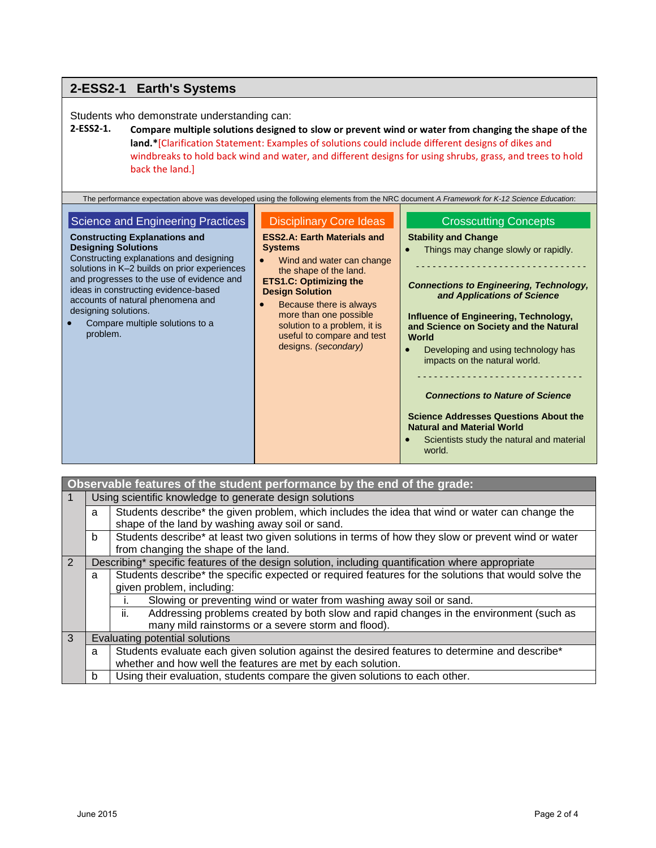#### **2-ESS2-1 Earth's Systems** Students who demonstrate understanding can: **2-ESS2-1. Compare multiple solutions designed to slow or prevent wind or water from changing the shape of the land.\***[Clarification Statement: Examples of solutions could include different designs of dikes and windbreaks to hold back wind and water, and different designs for using shrubs, grass, and trees to hold back the land.] The performance expectation above was developed using the following elements from the NRC document *A Framework for K-12 Science Education*: **Science and Engineering Practices Constructing Explanations and Designing Solutions** Constructing explanations and designing solutions in K–2 builds on prior experiences and progresses to the use of evidence and ideas in constructing evidence-based accounts of natural phenomena and designing solutions. • Compare multiple solutions to a problem. Disciplinary Core Ideas **ESS2.A: Earth Materials and Systems** Wind and water can change the shape of the land. **ETS1.C: Optimizing the Design Solution** Because there is always more than one possible solution to a problem, it is useful to compare and test designs. *(secondary)* Crosscutting Concepts **Stability and Change** • Things may change slowly or rapidly. - - - - - - - - - - - - - - - - - - - - - - - - - - - - - - - *Connections to Engineering, Technology, and Applications of Science* **Influence of Engineering, Technology, and Science on Society and the Natural World** Developing and using technology has impacts on the natural world. - - - - - - - - - - - - - - - - - - - - - - - - - - - - - - *Connections to Nature of Science* **Science Addresses Questions About the Natural and Material World** Scientists study the natural and material world.

| Observable features of the student performance by the end of the grade: |                                                                                  |                                                                                                      |  |  |  |
|-------------------------------------------------------------------------|----------------------------------------------------------------------------------|------------------------------------------------------------------------------------------------------|--|--|--|
| 1                                                                       |                                                                                  | Using scientific knowledge to generate design solutions                                              |  |  |  |
|                                                                         | a                                                                                | Students describe* the given problem, which includes the idea that wind or water can change the      |  |  |  |
|                                                                         |                                                                                  | shape of the land by washing away soil or sand.                                                      |  |  |  |
|                                                                         | b                                                                                | Students describe* at least two given solutions in terms of how they slow or prevent wind or water   |  |  |  |
|                                                                         |                                                                                  | from changing the shape of the land.                                                                 |  |  |  |
| 2                                                                       |                                                                                  | Describing* specific features of the design solution, including quantification where appropriate     |  |  |  |
|                                                                         | a                                                                                | Students describe* the specific expected or required features for the solutions that would solve the |  |  |  |
|                                                                         |                                                                                  | given problem, including:                                                                            |  |  |  |
|                                                                         |                                                                                  | Slowing or preventing wind or water from washing away soil or sand.                                  |  |  |  |
|                                                                         |                                                                                  | Addressing problems created by both slow and rapid changes in the environment (such as<br>ii.        |  |  |  |
|                                                                         |                                                                                  | many mild rainstorms or a severe storm and flood).                                                   |  |  |  |
| 3                                                                       |                                                                                  | Evaluating potential solutions                                                                       |  |  |  |
|                                                                         | a                                                                                | Students evaluate each given solution against the desired features to determine and describe*        |  |  |  |
|                                                                         |                                                                                  | whether and how well the features are met by each solution.                                          |  |  |  |
|                                                                         | Using their evaluation, students compare the given solutions to each other.<br>b |                                                                                                      |  |  |  |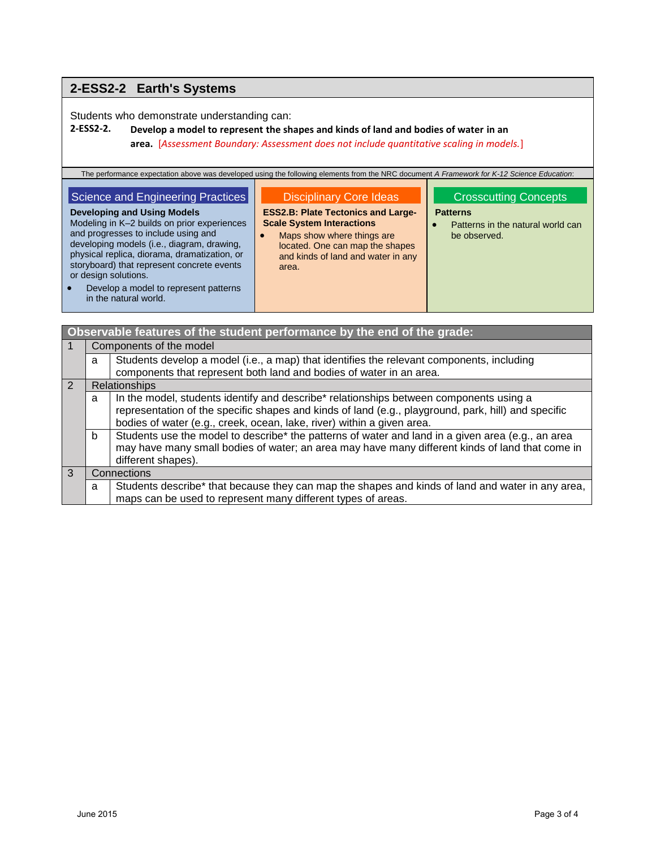# **2-ESS2-2 Earth's Systems**

Students who demonstrate understanding can:

## **2-ESS2-2. Develop a model to represent the shapes and kinds of land and bodies of water in an area.** [*Assessment Boundary: Assessment does not include quantitative scaling in models.*]

| The performance expectation above was developed using the following elements from the NRC document A Framework for K-12 Science Education:                                                                                                                                                                                                                                                          |                                                                                                                                                                                                                                 |                                                                                                      |  |
|-----------------------------------------------------------------------------------------------------------------------------------------------------------------------------------------------------------------------------------------------------------------------------------------------------------------------------------------------------------------------------------------------------|---------------------------------------------------------------------------------------------------------------------------------------------------------------------------------------------------------------------------------|------------------------------------------------------------------------------------------------------|--|
| Science and Engineering Practices<br><b>Developing and Using Models</b><br>Modeling in K-2 builds on prior experiences<br>and progresses to include using and<br>developing models (i.e., diagram, drawing,<br>physical replica, diorama, dramatization, or<br>storyboard) that represent concrete events<br>or design solutions.<br>Develop a model to represent patterns<br>in the natural world. | <b>Disciplinary Core Ideas</b><br><b>ESS2.B: Plate Tectonics and Large-</b><br><b>Scale System Interactions</b><br>Maps show where things are<br>located. One can map the shapes<br>and kinds of land and water in any<br>area. | <b>Crosscutting Concepts</b><br><b>Patterns</b><br>Patterns in the natural world can<br>be observed. |  |

| Observable features of the student performance by the end of the grade: |                         |                                                                                                                                                                                                                                                                         |  |
|-------------------------------------------------------------------------|-------------------------|-------------------------------------------------------------------------------------------------------------------------------------------------------------------------------------------------------------------------------------------------------------------------|--|
|                                                                         | Components of the model |                                                                                                                                                                                                                                                                         |  |
|                                                                         | a                       | Students develop a model (i.e., a map) that identifies the relevant components, including<br>components that represent both land and bodies of water in an area.                                                                                                        |  |
| $\overline{2}$                                                          | Relationships           |                                                                                                                                                                                                                                                                         |  |
|                                                                         | a                       | In the model, students identify and describe* relationships between components using a<br>representation of the specific shapes and kinds of land (e.g., playground, park, hill) and specific<br>bodies of water (e.g., creek, ocean, lake, river) within a given area. |  |
|                                                                         | b                       | Students use the model to describe* the patterns of water and land in a given area (e.g., an area<br>may have many small bodies of water; an area may have many different kinds of land that come in<br>different shapes).                                              |  |
| $\mathcal{B}$                                                           | Connections             |                                                                                                                                                                                                                                                                         |  |
|                                                                         | a                       | Students describe* that because they can map the shapes and kinds of land and water in any area,<br>maps can be used to represent many different types of areas.                                                                                                        |  |